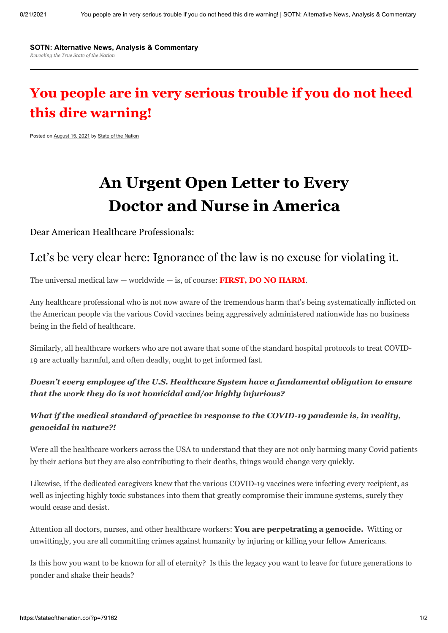#### **SOTN: Alternative News, Analysis & [Commentary](https://stateofthenation.co/)** *Revealing the True State of the Nation*

# **You people are in very serious trouble if you do not heed this dire warning!**

Posted on [August 15, 2021](https://stateofthenation.co/?p=79162) by [State of the Nation](https://stateofthenation.co/?author=1)

# **An Urgent Open Letter to Every Doctor and Nurse in America**

Dear American Healthcare Professionals:

## Let's be very clear here: Ignorance of the law is no excuse for violating it.

The universal medical law — worldwide — is, of course: **FIRST, DO NO HARM**.

Any healthcare professional who is not now aware of the tremendous harm that's being systematically inflicted on the American people via the various Covid vaccines being aggressively administered nationwide has no business being in the field of healthcare.

Similarly, all healthcare workers who are not aware that some of the standard hospital protocols to treat COVID-19 are actually harmful, and often deadly, ought to get informed fast.

#### *Doesn't every employee of the U.S. Healthcare System have a fundamental obligation to ensure that the work they do is not homicidal and/or highly injurious?*

#### *What if the medical standard of practice in response to the COVID-19 pandemic is, in reality, genocidal in nature?!*

Were all the healthcare workers across the USA to understand that they are not only harming many Covid patients by their actions but they are also contributing to their deaths, things would change very quickly.

Likewise, if the dedicated caregivers knew that the various COVID-19 vaccines were infecting every recipient, as well as injecting highly toxic substances into them that greatly compromise their immune systems, surely they would cease and desist.

Attention all doctors, nurses, and other healthcare workers: **You are perpetrating a genocide.** Witting or unwittingly, you are all committing crimes against humanity by injuring or killing your fellow Americans.

Is this how you want to be known for all of eternity? Is this the legacy you want to leave for future generations to ponder and shake their heads?